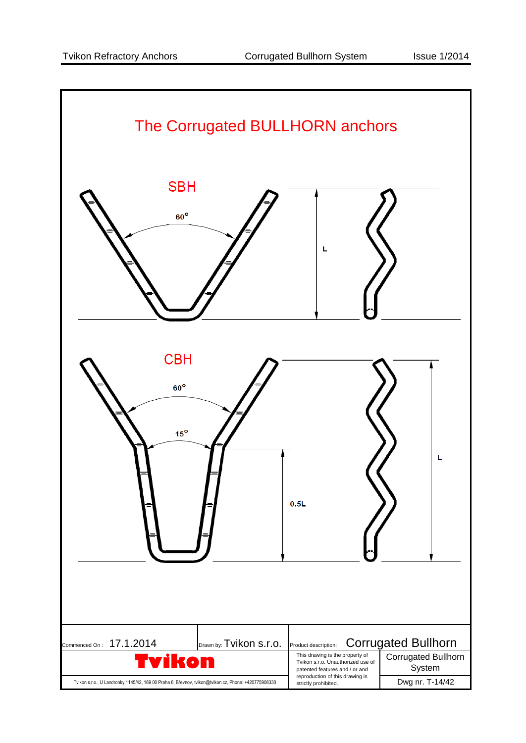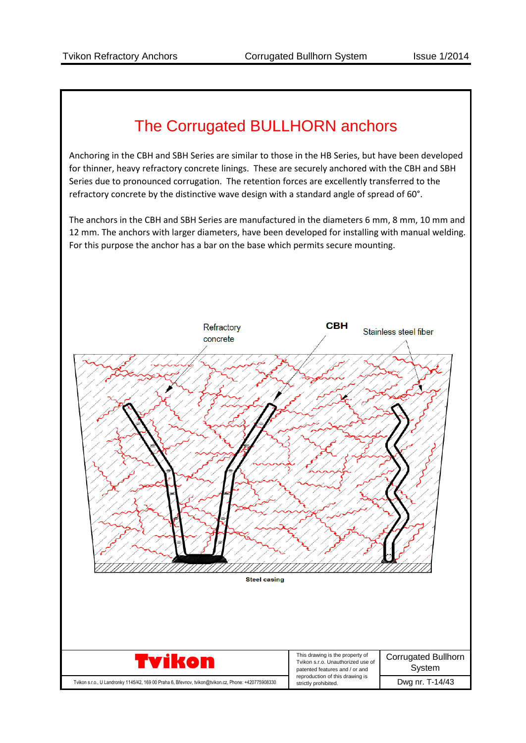## The Corrugated BULLHORN anchors

Anchoring in the CBH and SBH Series are similar to those in the HB Series, but have been developed for thinner, heavy refractory concrete linings. These are securely anchored with the CBH and SBH Series due to pronounced corrugation. The retention forces are excellently transferred to the refractory concrete by the distinctive wave design with a standard angle of spread of 60°.

The anchors in the CBH and SBH Series are manufactured in the diameters 6 mm, 8 mm, 10 mm and 12 mm. The anchors with larger diameters, have been developed for installing with manual welding. For this purpose the anchor has a bar on the base which permits secure mounting.

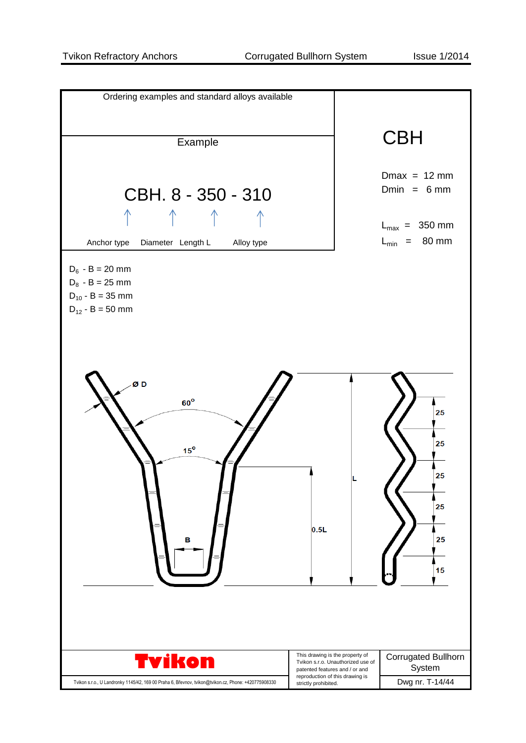